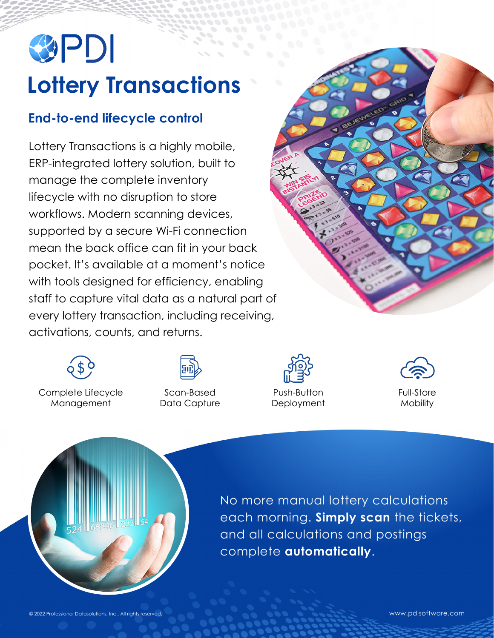## SPDI **Lottery Transactions**

## **End-to-end lifecycle control**

Lottery Transactions is a highly mobile, ERP-integrated lottery solution, built to manage the complete inventory lifecycle with no disruption to store workflows. Modern scanning devices, supported by a secure Wi-Fi connection mean the back office can fit in your back pocket. It's available at a moment's notice with tools designed for efficiency, enabling staff to capture vital data as a natural part of every lottery transaction, including receiving, activations, counts, and returns.





Complete Lifecycle Management



Scan-Based Data Capture



Push-Button **Deployment** 





No more manual lottery calculations each morning. **Simply scan** the tickets, and all calculations and postings complete **automatically**.